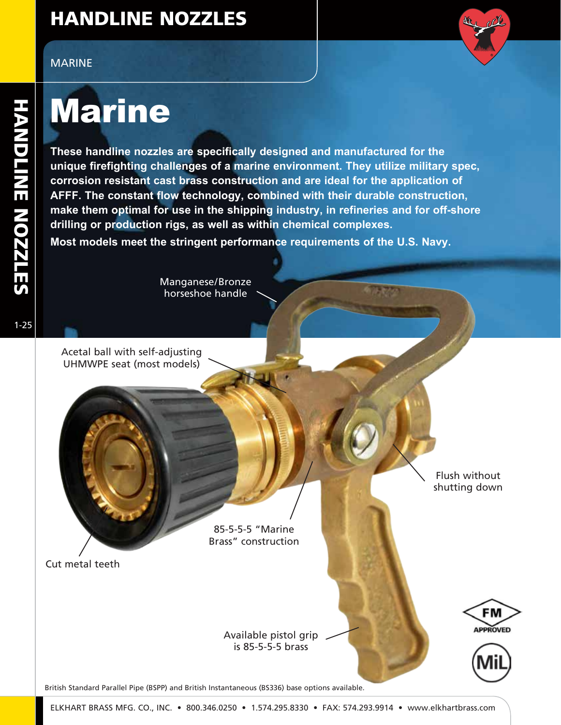### HANDLINE NOZZLES

### MARINE

# **Marine**

**These handline nozzles are specifically designed and manufactured for the unique firefighting challenges of a marine environment. They utilize military spec, corrosion resistant cast brass construction and are ideal for the application of AFFF. The constant flow technology, combined with their durable construction, make them optimal for use in the shipping industry, in refineries and for off-shore drilling or production rigs, as well as within chemical complexes.**

**Most models meet the stringent performance requirements of the U.S. Navy.**

Manganese/Bronze horseshoe handle

Acetal ball with self-adjusting UHMWPE seat (most models)

> 85-5-5-5 "Marine Brass" construction

Flush without shutting down

Available pistol grip is 85-5-5-5 brass

APPROVED

FM

British Standard Parallel Pipe (BSPP) and British Instantaneous (BS336) base options available.

1-25

HANDLINE NOZZLES

HANDLINE NOZZLES